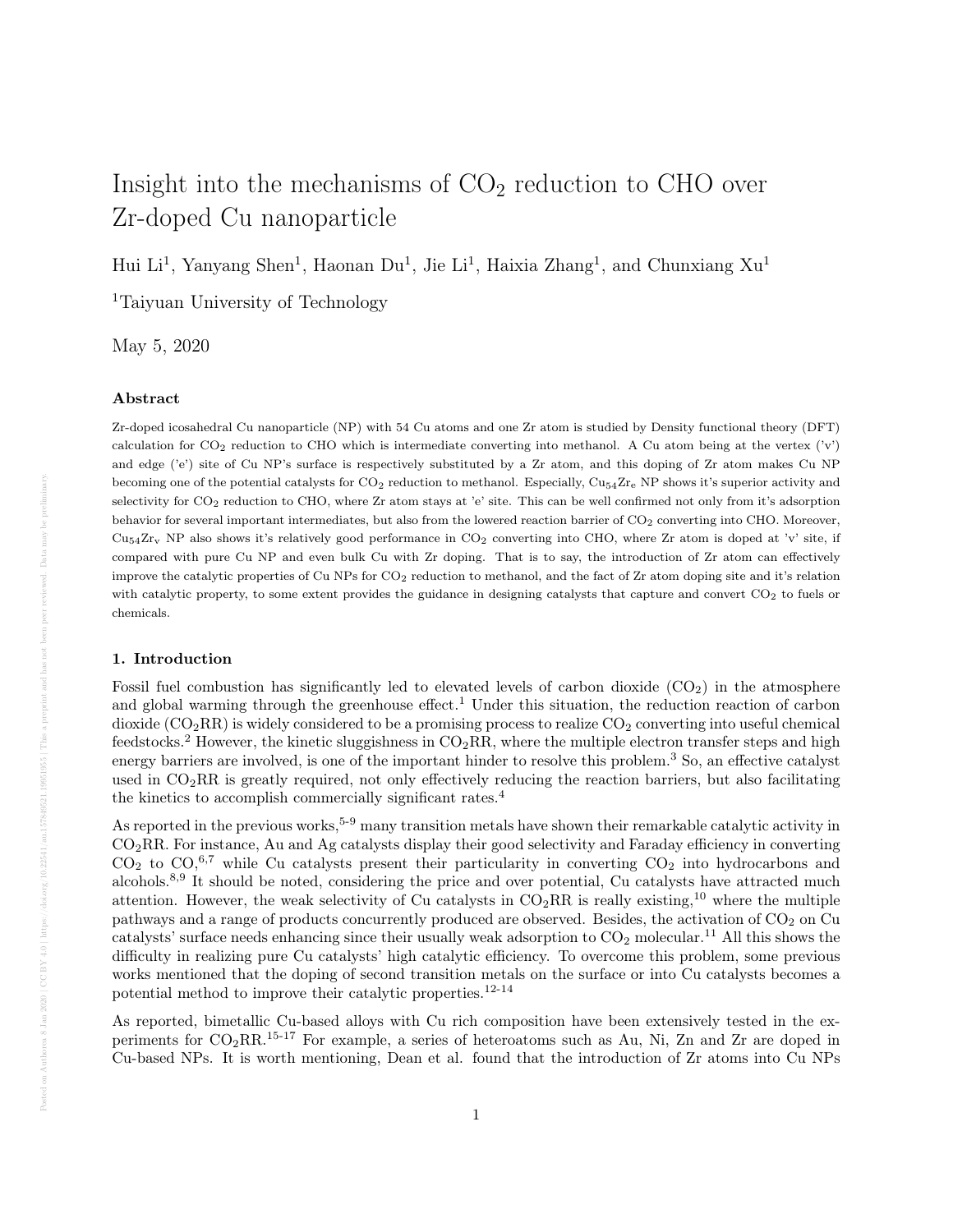# Insight into the mechanisms of  $CO<sub>2</sub>$  reduction to CHO over Zr-doped Cu nanoparticle

Hui Li<sup>1</sup>, Yanyang Shen<sup>1</sup>, Haonan Du<sup>1</sup>, Jie Li<sup>1</sup>, Haixia Zhang<sup>1</sup>, and Chunxiang Xu<sup>1</sup>

<sup>1</sup>Taiyuan University of Technology

May 5, 2020

## Abstract

Zr-doped icosahedral Cu nanoparticle (NP) with 54 Cu atoms and one Zr atom is studied by Density functional theory (DFT) calculation for  $CO_2$  reduction to CHO which is intermediate converting into methanol. A Cu atom being at the vertex  $('v')$ and edge ('e') site of Cu NP's surface is respectively substituted by a Zr atom, and this doping of Zr atom makes Cu NP becoming one of the potential catalysts for  $CO_2$  reduction to methanol. Especially,  $Cu_{54}Zr_{e}$  NP shows it's superior activity and selectivity for CO<sub>2</sub> reduction to CHO, where Zr atom stays at 'e' site. This can be well confirmed not only from it's adsorption behavior for several important intermediates, but also from the lowered reaction barrier of CO<sub>2</sub> converting into CHO. Moreover,  $Cu<sub>54</sub>Zr<sub>v</sub>$  NP also shows it's relatively good performance in CO<sub>2</sub> converting into CHO, where Zr atom is doped at 'v' site, if compared with pure Cu NP and even bulk Cu with Zr doping. That is to say, the introduction of Zr atom can effectively improve the catalytic properties of Cu NPs for  $CO<sub>2</sub>$  reduction to methanol, and the fact of Zr atom doping site and it's relation with catalytic property, to some extent provides the guidance in designing catalysts that capture and convert CO<sub>2</sub> to fuels or chemicals.

## 1. Introduction

Fossil fuel combustion has significantly led to elevated levels of carbon dioxide  $(CO_2)$  in the atmosphere and global warming through the greenhouse effect.<sup>1</sup> Under this situation, the reduction reaction of carbon dioxide  $(CO_2RR)$  is widely considered to be a promising process to realize  $CO_2$  converting into useful chemical feedstocks.<sup>2</sup> However, the kinetic sluggishness in  $CO<sub>2</sub>RR$ , where the multiple electron transfer steps and high energy barriers are involved, is one of the important hinder to resolve this problem.<sup>3</sup> So, an effective catalyst used in  $CO<sub>2</sub>RR$  is greatly required, not only effectively reducing the reaction barriers, but also facilitating the kinetics to accomplish commercially significant rates.<sup>4</sup>

As reported in the previous works,<sup>5-9</sup> many transition metals have shown their remarkable catalytic activity in CO2RR. For instance, Au and Ag catalysts display their good selectivity and Faraday efficiency in converting  $CO<sub>2</sub>$  to  $CO<sub>2</sub><sup>6,7</sup>$  while Cu catalysts present their particularity in converting  $CO<sub>2</sub>$  into hydrocarbons and alcohols.8,9 It should be noted, considering the price and over potential, Cu catalysts have attracted much attention. However, the weak selectivity of Cu catalysts in  $CO_2RR$  is really existing,<sup>10</sup> where the multiple pathways and a range of products concurrently produced are observed. Besides, the activation of  $CO_2$  on  $Cu$ catalysts' surface needs enhancing since their usually weak adsorption to  $CO<sub>2</sub>$  molecular.<sup>11</sup> All this shows the difficulty in realizing pure Cu catalysts' high catalytic efficiency. To overcome this problem, some previous works mentioned that the doping of second transition metals on the surface or into Cu catalysts becomes a potential method to improve their catalytic properties.12-14

As reported, bimetallic Cu-based alloys with Cu rich composition have been extensively tested in the experiments for CO2RR.15-17 For example, a series of heteroatoms such as Au, Ni, Zn and Zr are doped in Cu-based NPs. It is worth mentioning, Dean et al. found that the introduction of Zr atoms into Cu NPs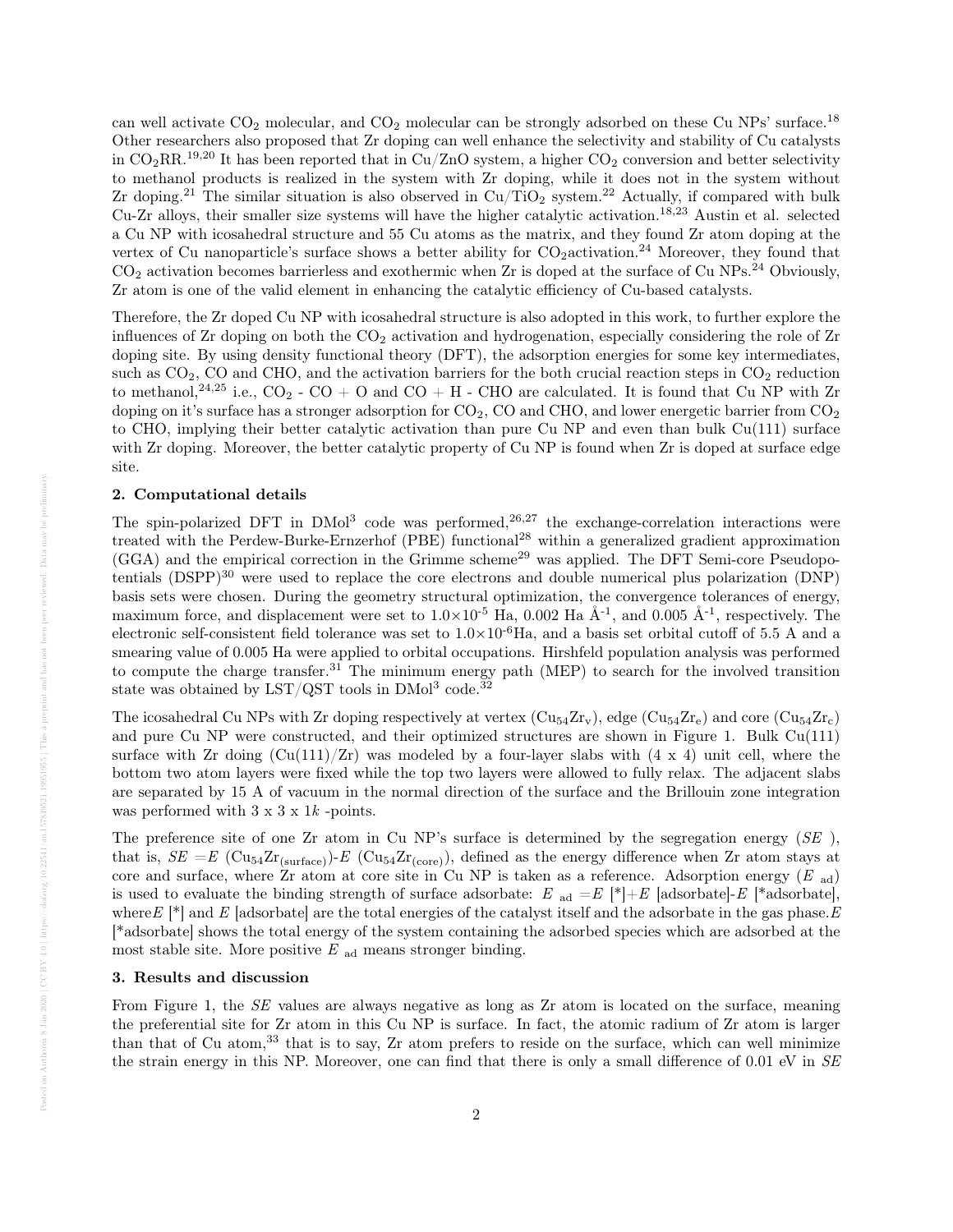can well activate  $CO_2$  molecular, and  $CO_2$  molecular can be strongly adsorbed on these Cu NPs' surface.<sup>18</sup> Other researchers also proposed that Zr doping can well enhance the selectivity and stability of Cu catalysts in  $CO_2RR$ <sup>19,20</sup> It has been reported that in Cu/ZnO system, a higher  $CO_2$  conversion and better selectivity to methanol products is realized in the system with Zr doping, while it does not in the system without Zr doping.<sup>21</sup> The similar situation is also observed in  $Cu/TiO<sub>2</sub>$  system.<sup>22</sup> Actually, if compared with bulk Cu-Zr alloys, their smaller size systems will have the higher catalytic activation.18,23 Austin et al. selected a Cu NP with icosahedral structure and 55 Cu atoms as the matrix, and they found Zr atom doping at the vertex of Cu nanoparticle's surface shows a better ability for  $CO_2$ activation.<sup>24</sup> Moreover, they found that  $CO<sub>2</sub>$  activation becomes barrierless and exothermic when Zr is doped at the surface of Cu NPs.<sup>24</sup> Obviously, Zr atom is one of the valid element in enhancing the catalytic efficiency of Cu-based catalysts.

Therefore, the Zr doped Cu NP with icosahedral structure is also adopted in this work, to further explore the influences of  $Zr$  doping on both the  $CO<sub>2</sub>$  activation and hydrogenation, especially considering the role of  $Zr$ doping site. By using density functional theory (DFT), the adsorption energies for some key intermediates, such as  $CO<sub>2</sub>$ , CO and CHO, and the activation barriers for the both crucial reaction steps in  $CO<sub>2</sub>$  reduction to methanol,<sup>24,25</sup> i.e.,  $CO_2$  -  $CO + O$  and  $CO + H$  - CHO are calculated. It is found that Cu NP with Zr doping on it's surface has a stronger adsorption for  $CO_2$ ,  $CO$  and  $CHO$ , and lower energetic barrier from  $CO_2$ to CHO, implying their better catalytic activation than pure Cu NP and even than bulk Cu(111) surface with Zr doping. Moreover, the better catalytic property of Cu NP is found when Zr is doped at surface edge site.

### 2. Computational details

The spin-polarized DFT in  $DMol<sup>3</sup>$  code was performed,<sup>26,27</sup> the exchange-correlation interactions were treated with the Perdew-Burke-Ernzerhof (PBE) functional<sup>28</sup> within a generalized gradient approximation  $(GGA)$  and the empirical correction in the Grimme scheme<sup>29</sup> was applied. The DFT Semi-core Pseudopotentials  $(DSPP)^{30}$  were used to replace the core electrons and double numerical plus polarization  $(DNP)$ basis sets were chosen. During the geometry structural optimization, the convergence tolerances of energy, maximum force, and displacement were set to  $1.0\times10^{-5}$  Ha, 0.002 Ha Å<sup>-1</sup>, and 0.005 Å<sup>-1</sup>, respectively. The electronic self-consistent field tolerance was set to  $1.0\times10^{-6}$  Ha, and a basis set orbital cutoff of 5.5 A and a smearing value of 0.005 Ha were applied to orbital occupations. Hirshfeld population analysis was performed to compute the charge transfer.<sup>31</sup> The minimum energy path (MEP) to search for the involved transition state was obtained by LST/QST tools in  $\text{DMol}^3$  code.<sup>32</sup>

The icosahedral Cu NPs with Zr doping respectively at vertex  $(Cu_{54}Zr_v)$ , edge  $(Cu_{54}Zr_e)$  and core  $(Cu_{54}Zr_c)$ and pure Cu NP were constructed, and their optimized structures are shown in Figure 1. Bulk Cu(111) surface with  $Zr$  doing  $(Cu(111)/Zr)$  was modeled by a four-layer slabs with  $(4 \times 4)$  unit cell, where the bottom two atom layers were fixed while the top two layers were allowed to fully relax. The adjacent slabs are separated by 15 A of vacuum in the normal direction of the surface and the Brillouin zone integration was performed with  $3 \times 3 \times 1k$  -points.

The preference site of one Zr atom in Cu NP's surface is determined by the segregation energy (SE), that is,  $SE = E \left( \text{Cu}_{54}\text{Zr}_{\text{(surface)}} \right) - E \left( \text{Cu}_{54}\text{Zr}_{\text{(core)}} \right)$ , defined as the energy difference when Zr atom stays at core and surface, where  $\rm Zr$  atom at core site in Cu NP is taken as a reference. Adsorption energy ( $E_{ad}$ ) is used to evaluate the binding strength of surface adsorbate: E ad  $=E$   $|\cdot|+E$  [adsorbate]-E [\*adsorbate], where  $E^{*}$  and  $E$  [adsorbate] are the total energies of the catalyst itself and the adsorbate in the gas phase. E [\*adsorbate] shows the total energy of the system containing the adsorbed species which are adsorbed at the most stable site. More positive  $E_{ad}$  means stronger binding.

## 3. Results and discussion

From Figure 1, the *SE* values are always negative as long as Zr atom is located on the surface, meaning the preferential site for Zr atom in this Cu NP is surface. In fact, the atomic radium of Zr atom is larger than that of Cu atom,<sup>33</sup> that is to say, Zr atom prefers to reside on the surface, which can well minimize the strain energy in this NP. Moreover, one can find that there is only a small difference of 0.01 eV in SE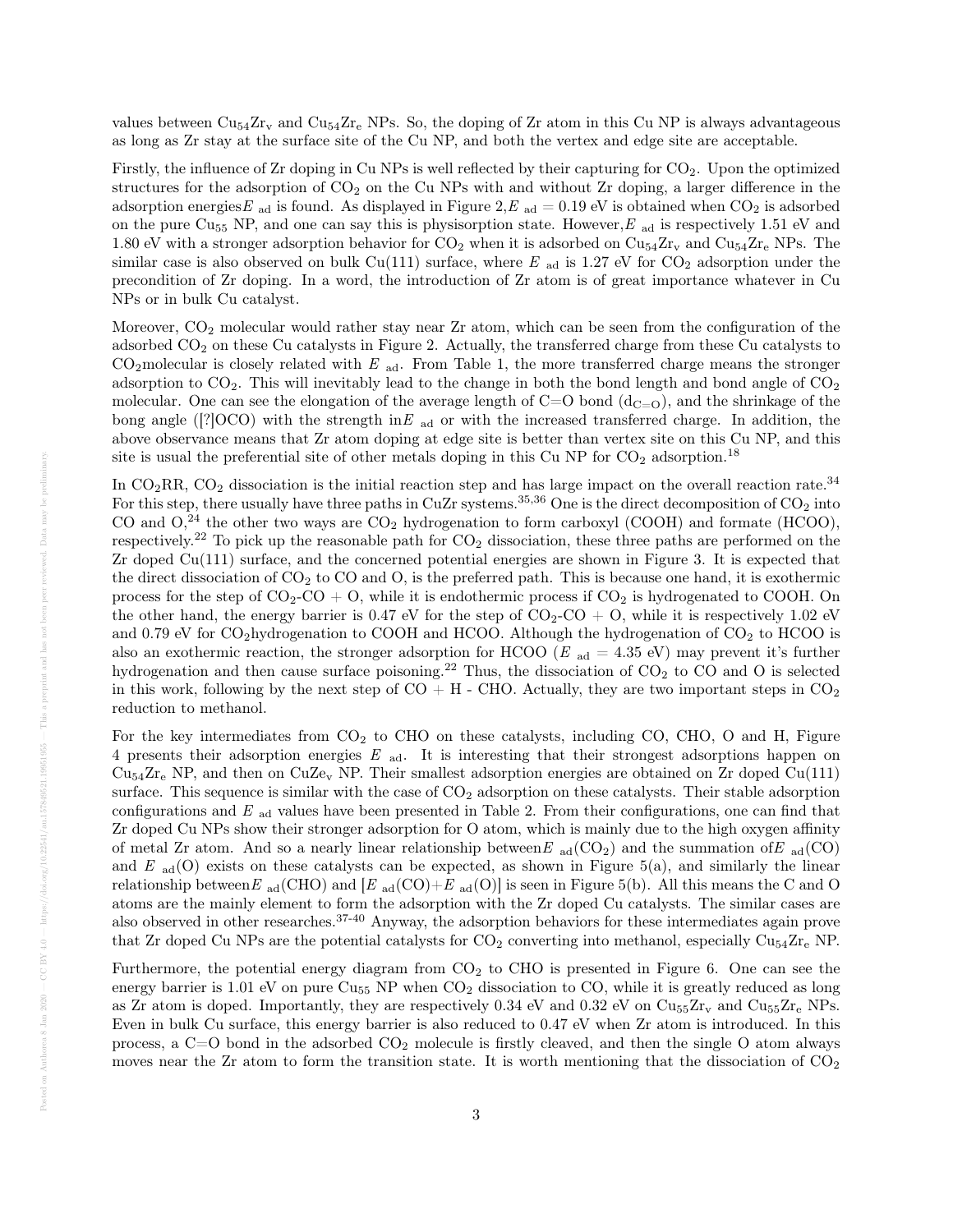values between  $\rm Cu_{54}Zr_{v}$  and  $\rm Cu_{54}Zr_{e}$  NPs. So, the doping of Zr atom in this Cu NP is always advantageous as long as Zr stay at the surface site of the Cu NP, and both the vertex and edge site are acceptable.

Firstly, the influence of Zr doping in Cu NPs is well reflected by their capturing for CO<sub>2</sub>. Upon the optimized structures for the adsorption of  $CO<sub>2</sub>$  on the Cu NPs with and without Zr doping, a larger difference in the adsorption energies E <sub>ad</sub> is found. As displayed in Figure 2, E <sub>ad</sub> = 0.19 eV is obtained when CO<sub>2</sub> is adsorbed on the pure  $\text{Cu}_{55}$  NP, and one can say this is physisorption state. However,  $E_{ad}$  is respectively 1.51 eV and 1.80 eV with a stronger adsorption behavior for  $CO_2$  when it is adsorbed on  $Cu_{54}Zr_v$  and  $Cu_{54}Zr_e$  NPs. The similar case is also observed on bulk Cu(111) surface, where  $E_{ad}$  is 1.27 eV for CO<sub>2</sub> adsorption under the precondition of Zr doping. In a word, the introduction of Zr atom is of great importance whatever in Cu NPs or in bulk Cu catalyst.

Moreover,  $CO<sub>2</sub>$  molecular would rather stay near Zr atom, which can be seen from the configuration of the adsorbed  $CO<sub>2</sub>$  on these Cu catalysts in Figure 2. Actually, the transferred charge from these Cu catalysts to  $CO<sub>2</sub>$ molecular is closely related with E <sub>ad</sub>. From Table 1, the more transferred charge means the stronger adsorption to  $CO<sub>2</sub>$ . This will inevitably lead to the change in both the bond length and bond angle of  $CO<sub>2</sub>$ molecular. One can see the elongation of the average length of  $C=O$  bond  $(d_{C=O})$ , and the shrinkage of the bong angle ([?]OCO) with the strength in E ad or with the increased transferred charge. In addition, the above observance means that Zr atom doping at edge site is better than vertex site on this Cu NP, and this site is usual the preferential site of other metals doping in this Cu NP for  $CO<sub>2</sub>$  adsorption.<sup>18</sup>

In  $CO_2RR$ ,  $CO_2$  dissociation is the initial reaction step and has large impact on the overall reaction rate.<sup>34</sup> For this step, there usually have three paths in CuZr systems.<sup>35,36</sup> One is the direct decomposition of  $CO<sub>2</sub>$  into CO and  $O<sub>2</sub><sup>24</sup>$  the other two ways are  $CO<sub>2</sub>$  hydrogenation to form carboxyl (COOH) and formate (HCOO), respectively.<sup>22</sup> To pick up the reasonable path for  $CO<sub>2</sub>$  dissociation, these three paths are performed on the Zr doped Cu(111) surface, and the concerned potential energies are shown in Figure 3. It is expected that the direct dissociation of  $CO<sub>2</sub>$  to  $CO$  and  $O$ , is the preferred path. This is because one hand, it is exothermic process for the step of  $CO_2$ -CO + O, while it is endothermic process if  $CO_2$  is hydrogenated to COOH. On the other hand, the energy barrier is 0.47 eV for the step of  $CO_2$ - $CO + O$ , while it is respectively 1.02 eV and 0.79 eV for  $CO<sub>2</sub>$ hydrogenation to COOH and HCOO. Although the hydrogenation of  $CO<sub>2</sub>$  to HCOO is also an exothermic reaction, the stronger adsorption for HCOO ( $E_{ad} = 4.35$  eV) may prevent it's further hydrogenation and then cause surface poisoning.<sup>22</sup> Thus, the dissociation of  $CO<sub>2</sub>$  to  $CO$  and  $O$  is selected in this work, following by the next step of  $CO + H$  - CHO. Actually, they are two important steps in  $CO<sub>2</sub>$ reduction to methanol.

For the key intermediates from  $CO<sub>2</sub>$  to CHO on these catalysts, including CO, CHO, O and H, Figure 4 presents their adsorption energies E ad. It is interesting that their strongest adsorptions happen on  $\text{Cu}_{54}\text{Zr}_{\text{e}}$  NP, and then on  $\text{CuZe}_{\text{v}}$  NP. Their smallest adsorption energies are obtained on Zr doped Cu(111) surface. This sequence is similar with the case of  $CO<sub>2</sub>$  adsorption on these catalysts. Their stable adsorption configurations and  $E_{ad}$  values have been presented in Table 2. From their configurations, one can find that Zr doped Cu NPs show their stronger adsorption for O atom, which is mainly due to the high oxygen affinity of metal Zr atom. And so a nearly linear relationship between  $E_{ad}(CO_2)$  and the summation of  $E_{ad}(CO)$ and  $E_{ad}(O)$  exists on these catalysts can be expected, as shown in Figure 5(a), and similarly the linear relationship between E <sub>ad</sub>(CHO) and [E <sub>ad</sub>(CO)+E <sub>ad</sub>(O)] is seen in Figure 5(b). All this means the C and O atoms are the mainly element to form the adsorption with the Zr doped Cu catalysts. The similar cases are also observed in other researches.37-40 Anyway, the adsorption behaviors for these intermediates again prove that Zr doped Cu NPs are the potential catalysts for  $CO_2$  converting into methanol, especially  $Cu_{54}Zr_e$  NP.

Furthermore, the potential energy diagram from  $CO<sub>2</sub>$  to CHO is presented in Figure 6. One can see the energy barrier is 1.01 eV on pure  $Cu_{55}$  NP when  $CO<sub>2</sub>$  dissociation to CO, while it is greatly reduced as long as Zr atom is doped. Importantly, they are respectively 0.34 eV and 0.32 eV on  $\text{Cu}_{55}\text{Zr}_{\text{v}}$  and  $\text{Cu}_{55}\text{Zr}_{\text{e}}$  NPs. Even in bulk Cu surface, this energy barrier is also reduced to 0.47 eV when Zr atom is introduced. In this process, a  $C=O$  bond in the adsorbed  $CO<sub>2</sub>$  molecule is firstly cleaved, and then the single O atom always moves near the Zr atom to form the transition state. It is worth mentioning that the dissociation of  $CO<sub>2</sub>$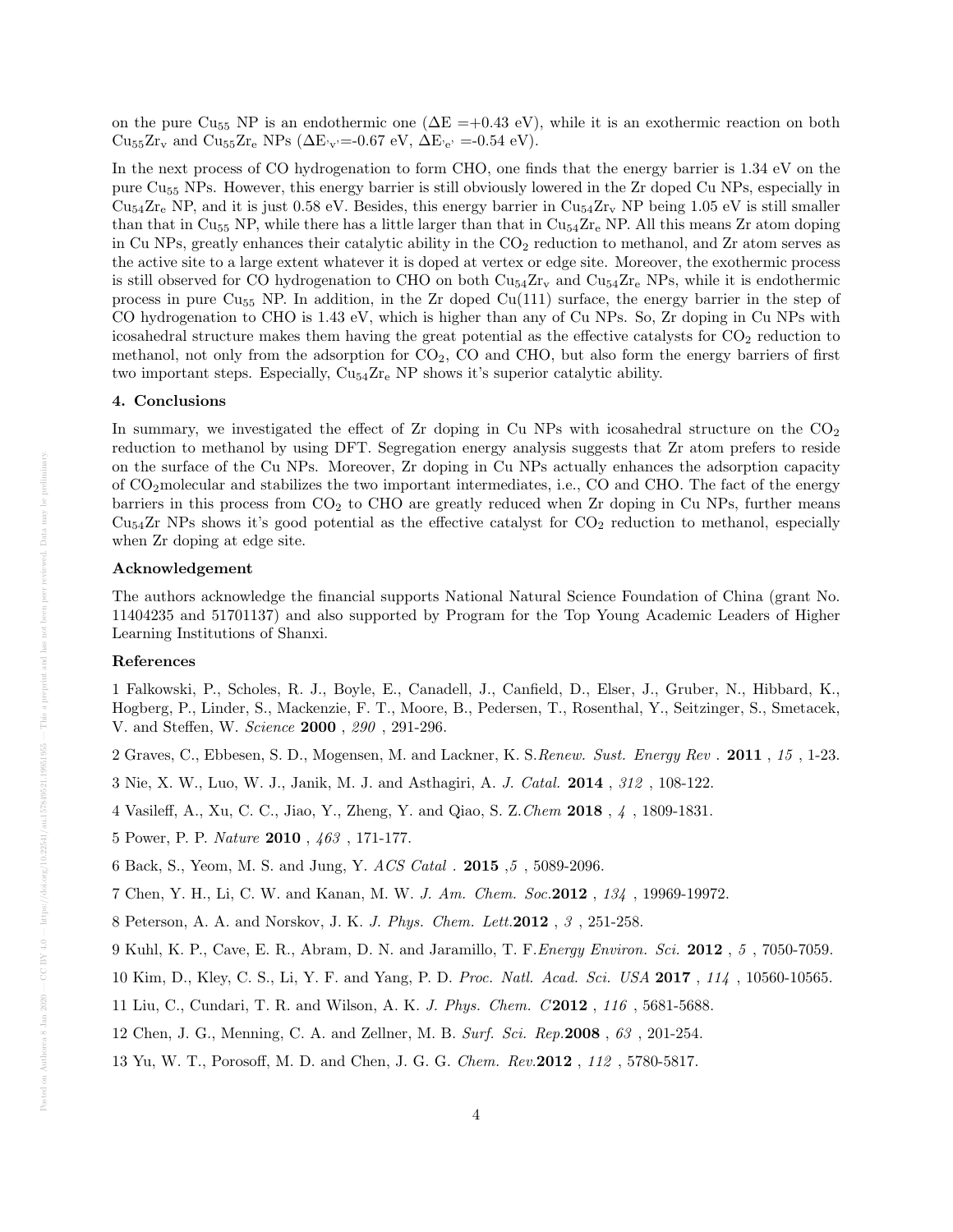on the pure Cu<sub>55</sub> NP is an endothermic one ( $\Delta E = +0.43$  eV), while it is an exothermic reaction on both  $\text{Cu}_{55}\text{Zr}_{v}$  and  $\text{Cu}_{55}\text{Zr}_{e}$  NPs  $(\Delta E_{v}=-0.67 \text{ eV}, \Delta E_{v}=-0.54 \text{ eV}).$ 

In the next process of CO hydrogenation to form CHO, one finds that the energy barrier is 1.34 eV on the pure Cu<sup>55</sup> NPs. However, this energy barrier is still obviously lowered in the Zr doped Cu NPs, especially in  $\text{Cu}_{54}\text{Zr}_{\text{e}}$  NP, and it is just 0.58 eV. Besides, this energy barrier in  $\text{Cu}_{54}\text{Zr}_{\text{v}}$  NP being 1.05 eV is still smaller than that in  $Cu_{55}$  NP, while there has a little larger than that in  $Cu_{54}Zr_{e}$  NP. All this means Zr atom doping in Cu NPs, greatly enhances their catalytic ability in the  $CO<sub>2</sub>$  reduction to methanol, and Zr atom serves as the active site to a large extent whatever it is doped at vertex or edge site. Moreover, the exothermic process is still observed for CO hydrogenation to CHO on both  $\text{Cu}_{54}\text{Zr}_{v}$  and  $\text{Cu}_{54}\text{Zr}_{e}$  NPs, while it is endothermic process in pure  $Cu_{55}$  NP. In addition, in the Zr doped  $Cu(111)$  surface, the energy barrier in the step of CO hydrogenation to CHO is 1.43 eV, which is higher than any of Cu NPs. So, Zr doping in Cu NPs with icosahedral structure makes them having the great potential as the effective catalysts for  $CO<sub>2</sub>$  reduction to methanol, not only from the adsorption for  $CO<sub>2</sub>$ , CO and CHO, but also form the energy barriers of first two important steps. Especially,  $Cu_{54}Zr_{e}$  NP shows it's superior catalytic ability.

#### 4. Conclusions

In summary, we investigated the effect of  $Zr$  doping in Cu NPs with icosahedral structure on the  $CO<sub>2</sub>$ reduction to methanol by using DFT. Segregation energy analysis suggests that Zr atom prefers to reside on the surface of the Cu NPs. Moreover, Zr doping in Cu NPs actually enhances the adsorption capacity of CO2molecular and stabilizes the two important intermediates, i.e., CO and CHO. The fact of the energy barriers in this process from  $CO<sub>2</sub>$  to CHO are greatly reduced when Zr doping in Cu NPs, further means  $Cu<sub>54</sub>Zr$  NPs shows it's good potential as the effective catalyst for  $CO<sub>2</sub>$  reduction to methanol, especially when Zr doping at edge site.

#### Acknowledgement

The authors acknowledge the financial supports National Natural Science Foundation of China (grant No. 11404235 and 51701137) and also supported by Program for the Top Young Academic Leaders of Higher Learning Institutions of Shanxi.

#### References

1 Falkowski, P., Scholes, R. J., Boyle, E., Canadell, J., Canfield, D., Elser, J., Gruber, N., Hibbard, K., Hogberg, P., Linder, S., Mackenzie, F. T., Moore, B., Pedersen, T., Rosenthal, Y., Seitzinger, S., Smetacek, V. and Steffen, W. Science 2000 , 290 , 291-296.

2 Graves, C., Ebbesen, S. D., Mogensen, M. and Lackner, K. S.Renew. Sust. Energy Rev . 2011 , 15 , 1-23.

3 Nie, X. W., Luo, W. J., Janik, M. J. and Asthagiri, A. J. Catal. 2014 , 312 , 108-122.

4 Vasileff, A., Xu, C. C., Jiao, Y., Zheng, Y. and Qiao, S. Z.Chem 2018 , 4 , 1809-1831.

5 Power, P. P. Nature 2010 , 463 , 171-177.

6 Back, S., Yeom, M. S. and Jung, Y. ACS Catal . 2015 ,5 , 5089-2096.

7 Chen, Y. H., Li, C. W. and Kanan, M. W. J. Am. Chem. Soc.2012 , 134 , 19969-19972.

8 Peterson, A. A. and Norskov, J. K. J. Phys. Chem. Lett.2012 , 3 , 251-258.

9 Kuhl, K. P., Cave, E. R., Abram, D. N. and Jaramillo, T. F.Energy Environ. Sci. 2012 , 5 , 7050-7059.

10 Kim, D., Kley, C. S., Li, Y. F. and Yang, P. D. Proc. Natl. Acad. Sci. USA 2017 , 114 , 10560-10565.

11 Liu, C., Cundari, T. R. and Wilson, A. K. J. Phys. Chem. C 2012 , 116 , 5681-5688.

- 12 Chen, J. G., Menning, C. A. and Zellner, M. B. Surf. Sci. Rep.2008 , 63 , 201-254.
- 13 Yu, W. T., Porosoff, M. D. and Chen, J. G. G. Chem. Rev.2012 , 112 , 5780-5817.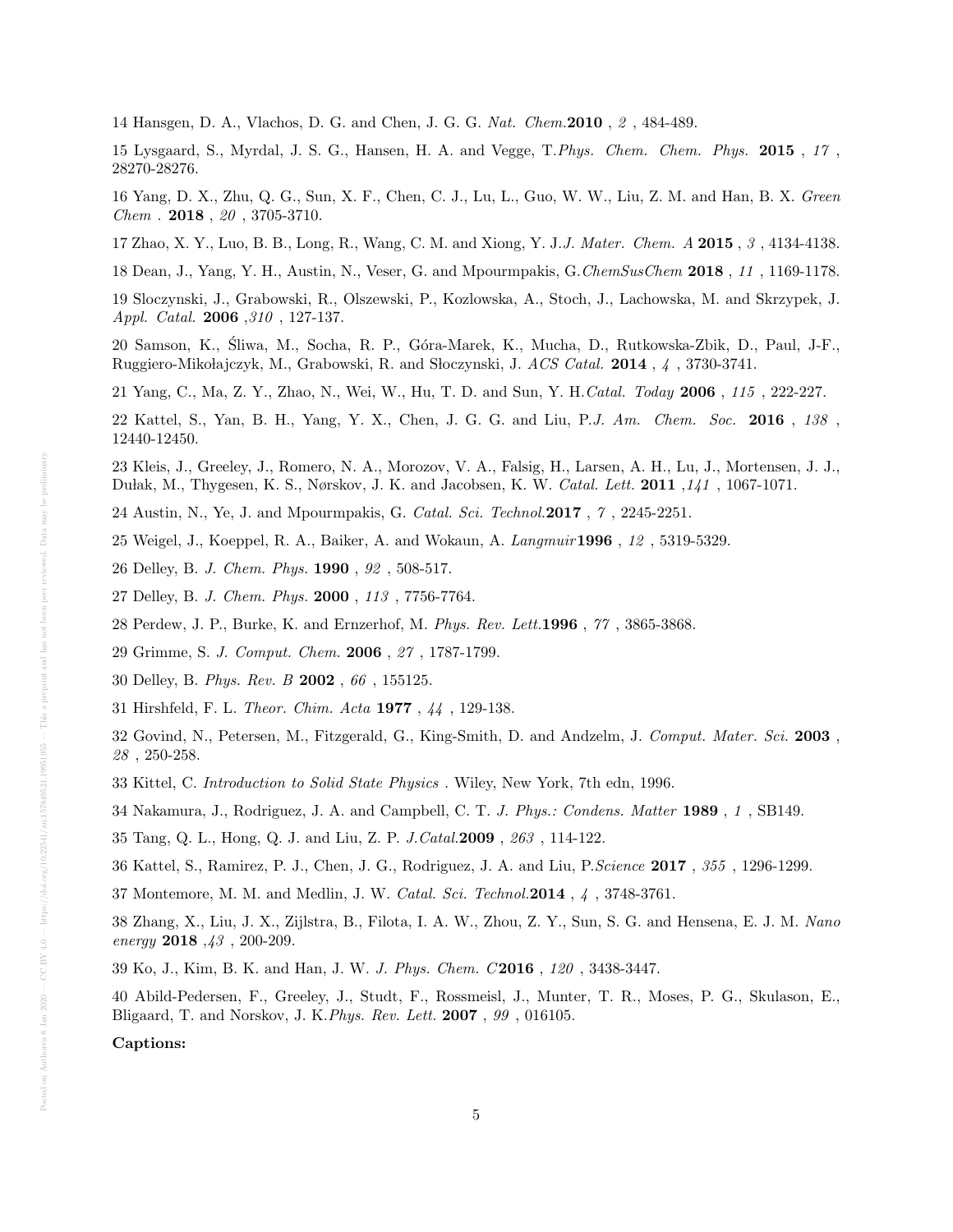14 Hansgen, D. A., Vlachos, D. G. and Chen, J. G. G. Nat. Chem.2010 , 2 , 484-489.

15 Lysgaard, S., Myrdal, J. S. G., Hansen, H. A. and Vegge, T.Phys. Chem. Chem. Phys. 2015 , 17 , 28270-28276.

16 Yang, D. X., Zhu, Q. G., Sun, X. F., Chen, C. J., Lu, L., Guo, W. W., Liu, Z. M. and Han, B. X. Green Chem . 2018 , 20 , 3705-3710.

17 Zhao, X. Y., Luo, B. B., Long, R., Wang, C. M. and Xiong, Y. J.J. Mater. Chem. A 2015 , 3 , 4134-4138.

18 Dean, J., Yang, Y. H., Austin, N., Veser, G. and Mpourmpakis, G.ChemSusChem 2018 , 11 , 1169-1178.

19 Sloczynski, J., Grabowski, R., Olszewski, P., Kozlowska, A., Stoch, J., Lachowska, M. and Skrzypek, J. Appl. Catal. 2006 ,310 , 127-137.

20 Samson, K., Sliwa, M., Socha, R. P., G´ora-Marek, K., Mucha, D., Rutkowska-Zbik, D., Paul, J-F., ´ Ruggiero-Mikołajczyk, M., Grabowski, R. and Słoczynski, J. ACS Catal. 2014, 4, 3730-3741.

21 Yang, C., Ma, Z. Y., Zhao, N., Wei, W., Hu, T. D. and Sun, Y. H.Catal. Today 2006 , 115 , 222-227.

22 Kattel, S., Yan, B. H., Yang, Y. X., Chen, J. G. G. and Liu, P.J. Am. Chem. Soc. 2016 , 138 , 12440-12450.

23 Kleis, J., Greeley, J., Romero, N. A., Morozov, V. A., Falsig, H., Larsen, A. H., Lu, J., Mortensen, J. J., Dułak, M., Thygesen, K. S., Nørskov, J. K. and Jacobsen, K. W. Catal. Lett. 2011 , 141, 1067-1071.

24 Austin, N., Ye, J. and Mpourmpakis, G. Catal. Sci. Technol.2017 , 7 , 2245-2251.

25 Weigel, J., Koeppel, R. A., Baiker, A. and Wokaun, A. Langmuir1996 , 12 , 5319-5329.

26 Delley, B. J. Chem. Phys. 1990 , 92 , 508-517.

27 Delley, B. J. Chem. Phys. 2000 , 113 , 7756-7764.

28 Perdew, J. P., Burke, K. and Ernzerhof, M. Phys. Rev. Lett.1996 , 77 , 3865-3868.

29 Grimme, S. J. Comput. Chem. 2006 , 27 , 1787-1799.

30 Delley, B. Phys. Rev. B 2002 , 66 , 155125.

31 Hirshfeld, F. L. Theor. Chim. Acta 1977 , 44 , 129-138.

32 Govind, N., Petersen, M., Fitzgerald, G., King-Smith, D. and Andzelm, J. Comput. Mater. Sci. 2003 , 28 , 250-258.

33 Kittel, C. Introduction to Solid State Physics . Wiley, New York, 7th edn, 1996.

34 Nakamura, J., Rodriguez, J. A. and Campbell, C. T. J. Phys.: Condens. Matter 1989 , 1 , SB149.

35 Tang, Q. L., Hong, Q. J. and Liu, Z. P. J.Catal.2009 , 263 , 114-122.

36 Kattel, S., Ramirez, P. J., Chen, J. G., Rodriguez, J. A. and Liu, P.Science 2017 , 355 , 1296-1299.

37 Montemore, M. M. and Medlin, J. W. Catal. Sci. Technol.2014 , 4 , 3748-3761.

38 Zhang, X., Liu, J. X., Zijlstra, B., Filota, I. A. W., Zhou, Z. Y., Sun, S. G. and Hensena, E. J. M. Nano energy  $2018, 43, 200-209$ .

39 Ko, J., Kim, B. K. and Han, J. W. J. Phys. Chem. C 2016 , 120 , 3438-3447.

40 Abild-Pedersen, F., Greeley, J., Studt, F., Rossmeisl, J., Munter, T. R., Moses, P. G., Skulason, E., Bligaard, T. and Norskov, J. K.Phys. Rev. Lett. 2007 , 99 , 016105.

Captions: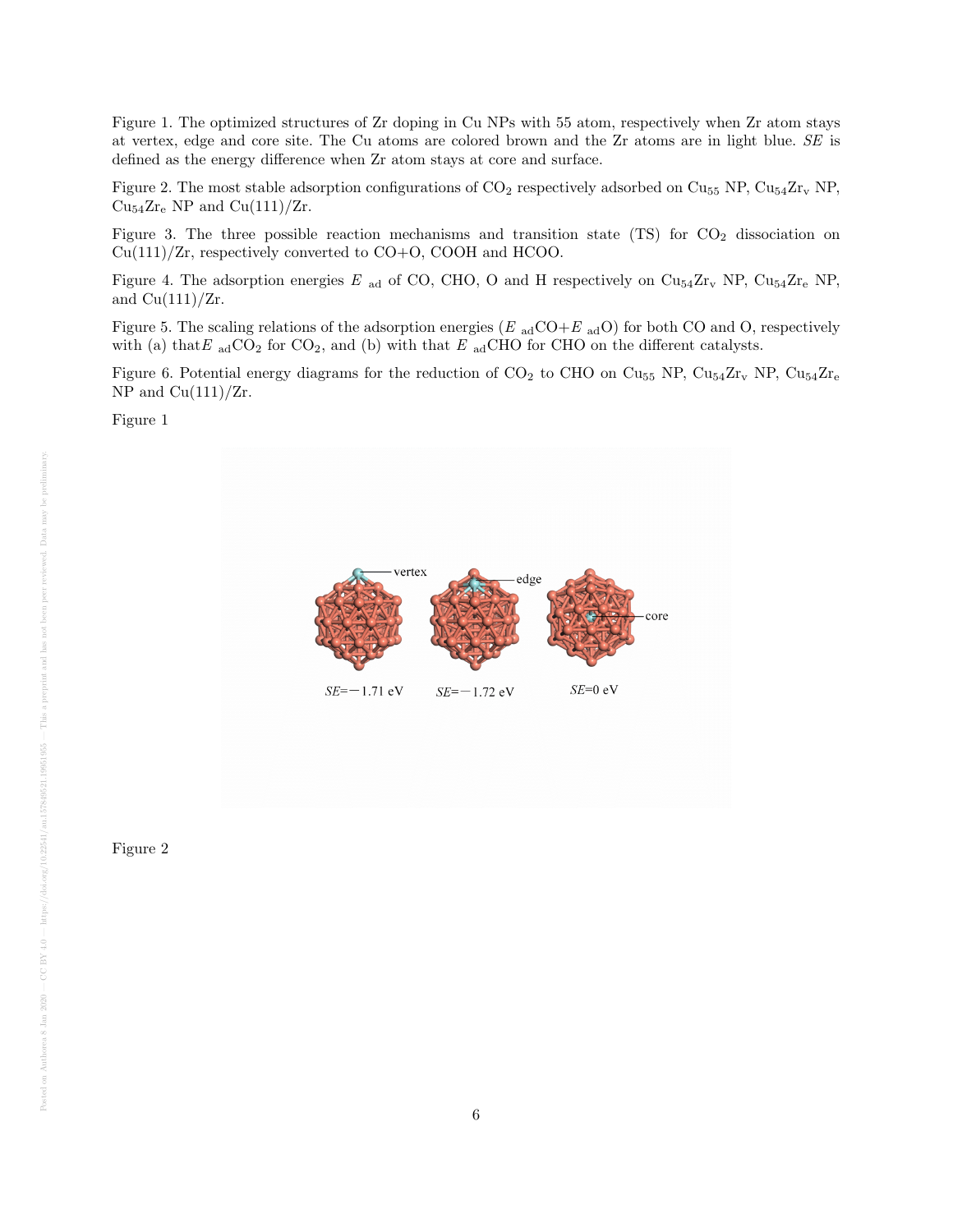Figure 1. The optimized structures of Zr doping in Cu NPs with 55 atom, respectively when Zr atom stays at vertex, edge and core site. The Cu atoms are colored brown and the Zr atoms are in light blue. SE is defined as the energy difference when Zr atom stays at core and surface.

Figure 2. The most stable adsorption configurations of  $CO_2$  respectively adsorbed on  $Cu_{55}$  NP,  $Cu_{54}Zr_v$  NP,  $Cu_{54}Zr_{e}$  NP and  $Cu(111)/Zr$ .

Figure 3. The three possible reaction mechanisms and transition state  $(TS)$  for  $CO<sub>2</sub>$  dissociation on Cu(111)/Zr, respectively converted to CO+O, COOH and HCOO.

Figure 4. The adsorption energies E <sub>ad</sub> of CO, CHO, O and H respectively on  $\text{Cu}_{54}\text{Zr}_{v}$  NP,  $\text{Cu}_{54}\text{Zr}_{e}$  NP, and  $Cu(111)/Zr$ .

Figure 5. The scaling relations of the adsorption energies ( $E_{ad}CO+E_{ad}O$ ) for both CO and O, respectively with (a) that E  $_{\text{ad}}CO_2$  for  $CO_2$ , and (b) with that E  $_{\text{ad}}CHO$  for CHO on the different catalysts.

Figure 6. Potential energy diagrams for the reduction of  $CO_2$  to CHO on  $Cu_{55}$  NP,  $Cu_{54}Zr_v$  NP,  $Cu_{54}Zr_e$ NP and  $Cu(111)/Zr$ .

Figure 1



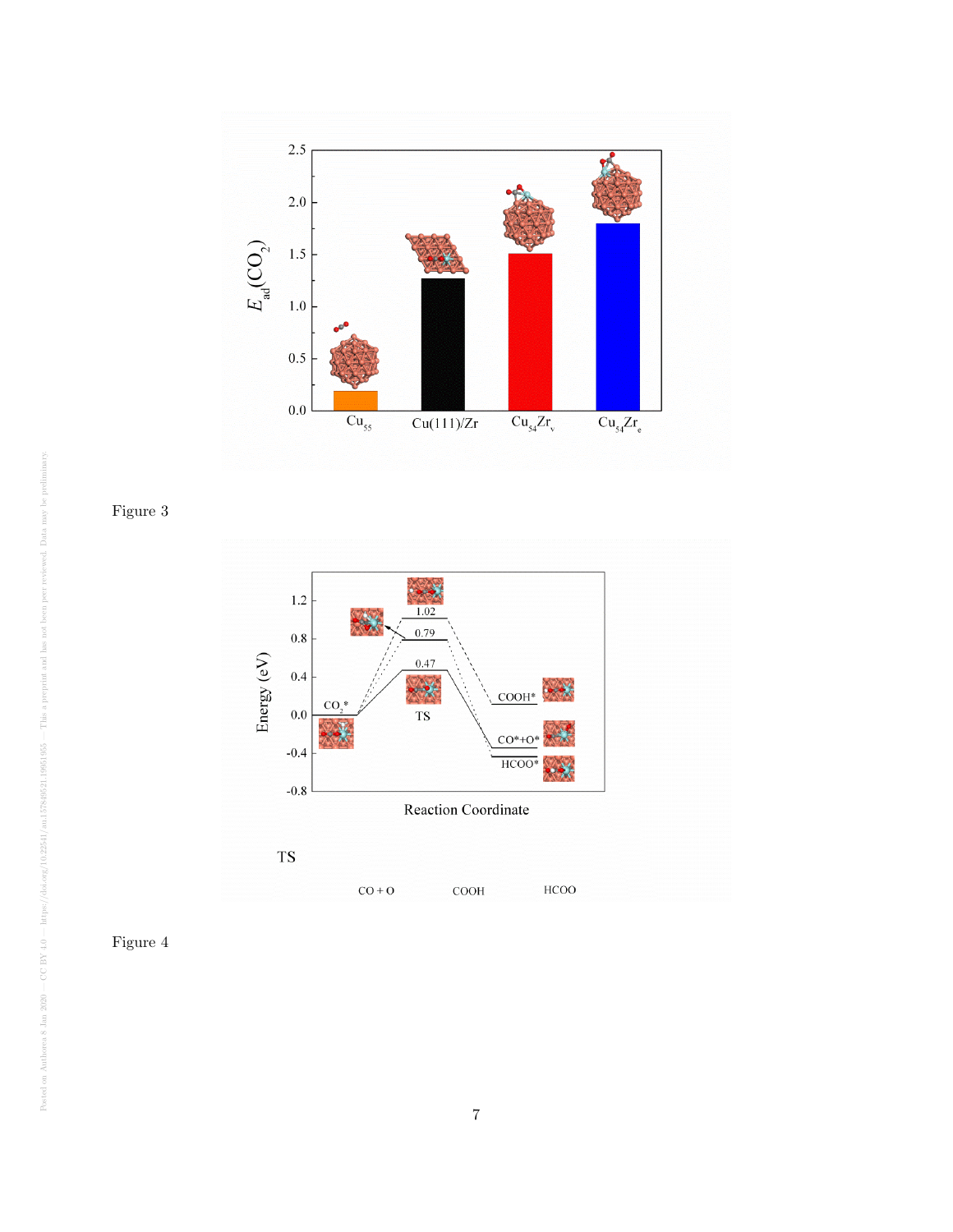

Figure 3



Figure 4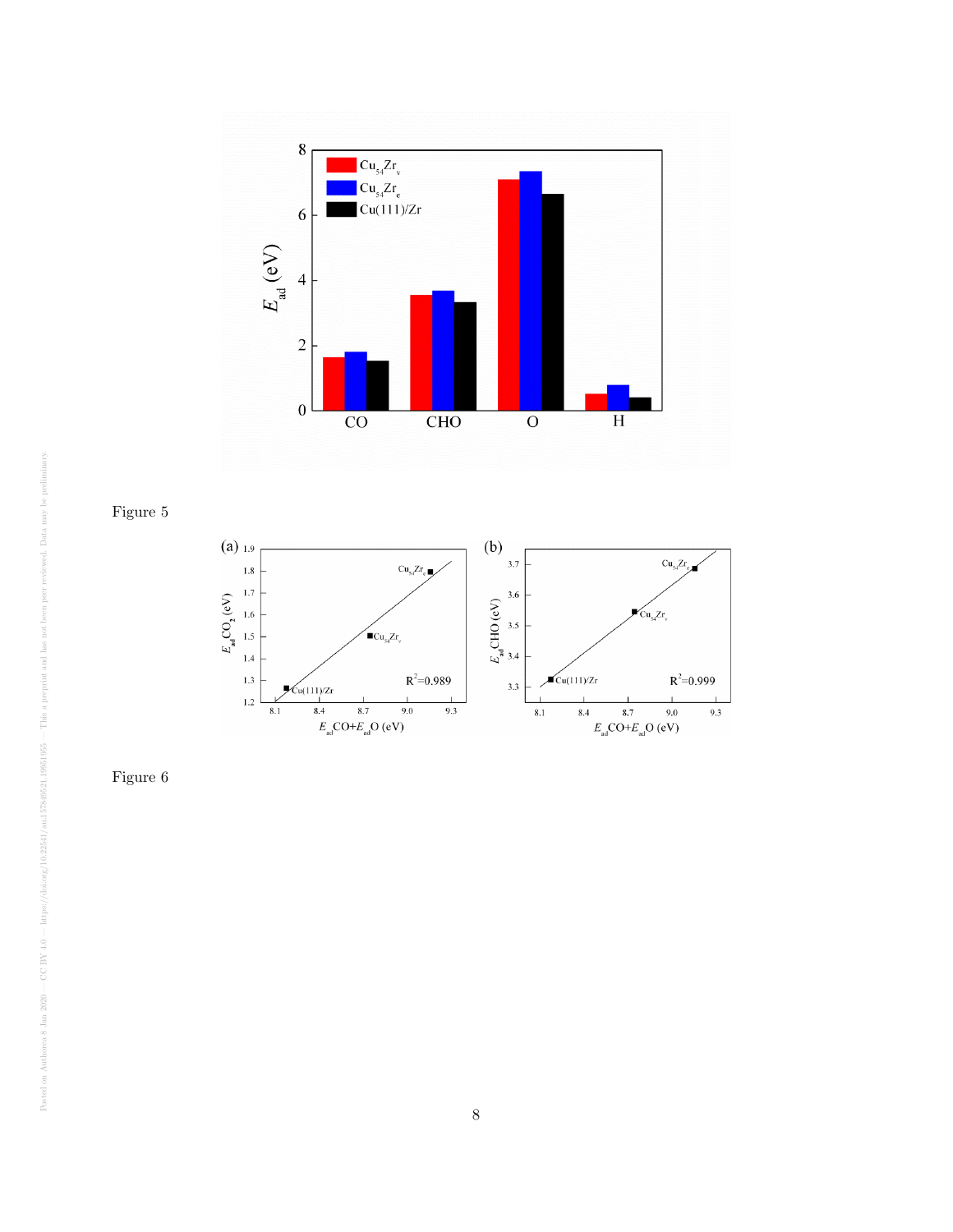

Figure 5



Figure 6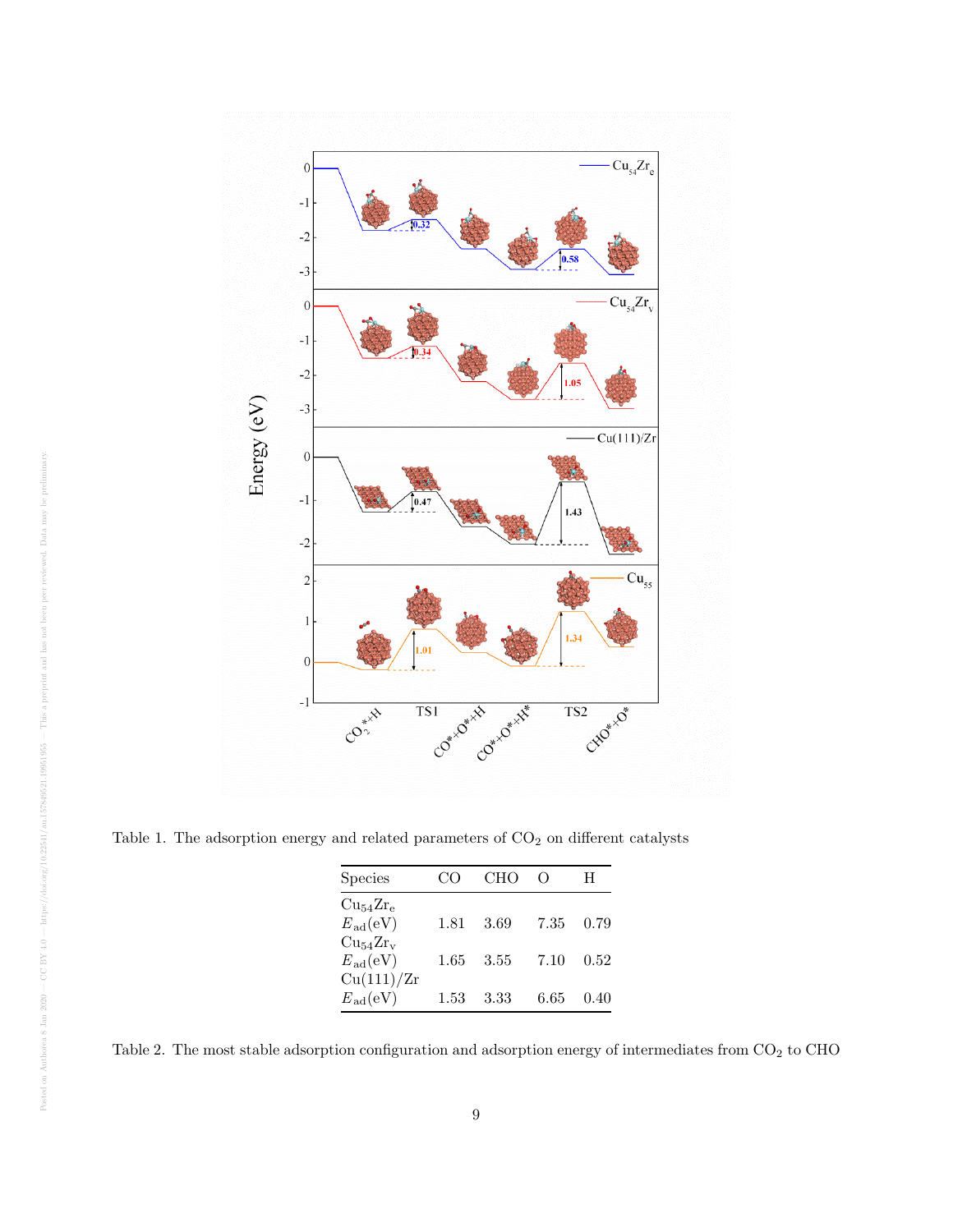

Table 1. The adsorption energy and related parameters of  $\mathrm{CO}_2$  on different catalysts

| <b>Species</b>         |      | <b>CHO</b> | $\left( \right)$ | H    |
|------------------------|------|------------|------------------|------|
| $Cu_{54}Zr_{e}$        |      |            |                  |      |
| $E_{\rm ad}({\rm eV})$ | 1.81 | 3.69       | 7.35             | 0.79 |
| $Cu_{54}Zr_{v}$        |      |            |                  |      |
| $E_{\rm ad}({\rm eV})$ | 1.65 | 3.55       | 7.10             | 0.52 |
| Cu(111)/Zr             |      |            |                  |      |
| $E_{\rm ad}({\rm eV})$ | 1.53 | 3.33       | 6.65             | 0.40 |

Table 2. The most stable adsorption configuration and adsorption energy of intermediates from  $\mathrm{CO}_2$  to CHO